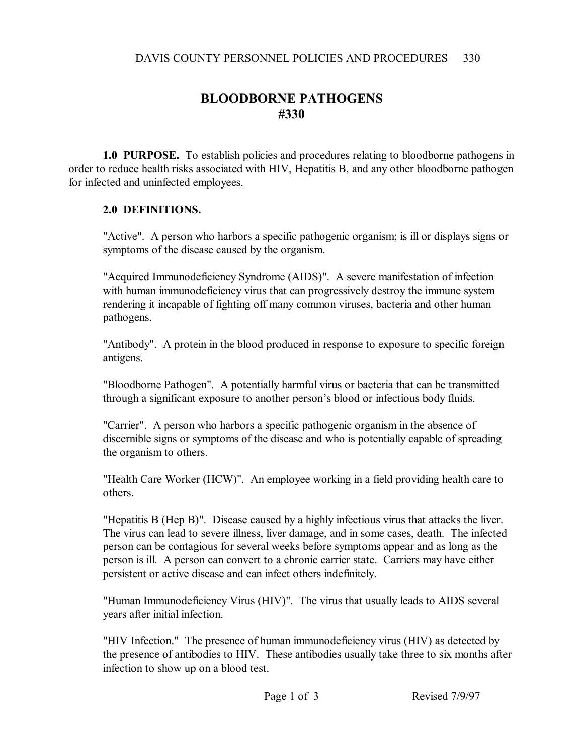## **BLOODBORNE PATHOGENS #330**

**1.0 PURPOSE.** To establish policies and procedures relating to bloodborne pathogens in order to reduce health risks associated with HIV, Hepatitis B, and any other bloodborne pathogen for infected and uninfected employees.

## **2.0 DEFINITIONS.**

"Active". A person who harbors a specific pathogenic organism; is ill or displays signs or symptoms of the disease caused by the organism.

"Acquired Immunodeficiency Syndrome (AIDS)". A severe manifestation of infection with human immunodeficiency virus that can progressively destroy the immune system rendering it incapable of fighting off many common viruses, bacteria and other human pathogens.

"Antibody". A protein in the blood produced in response to exposure to specific foreign antigens.

"Bloodborne Pathogen". A potentially harmful virus or bacteria that can be transmitted through a significant exposure to another person's blood or infectious body fluids.

"Carrier". A person who harbors a specific pathogenic organism in the absence of discernible signs or symptoms of the disease and who is potentially capable of spreading the organism to others.

"Health Care Worker (HCW)". An employee working in a field providing health care to others.

"Hepatitis B (Hep B)". Disease caused by a highly infectious virus that attacks the liver. The virus can lead to severe illness, liver damage, and in some cases, death. The infected person can be contagious for several weeks before symptoms appear and as long as the person is ill. A person can convert to a chronic carrier state. Carriers may have either persistent or active disease and can infect others indefinitely.

"Human Immunodeficiency Virus (HIV)". The virus that usually leads to AIDS several years after initial infection.

"HIV Infection." The presence of human immunodeficiency virus (HIV) as detected by the presence of antibodies to HIV. These antibodies usually take three to six months after infection to show up on a blood test.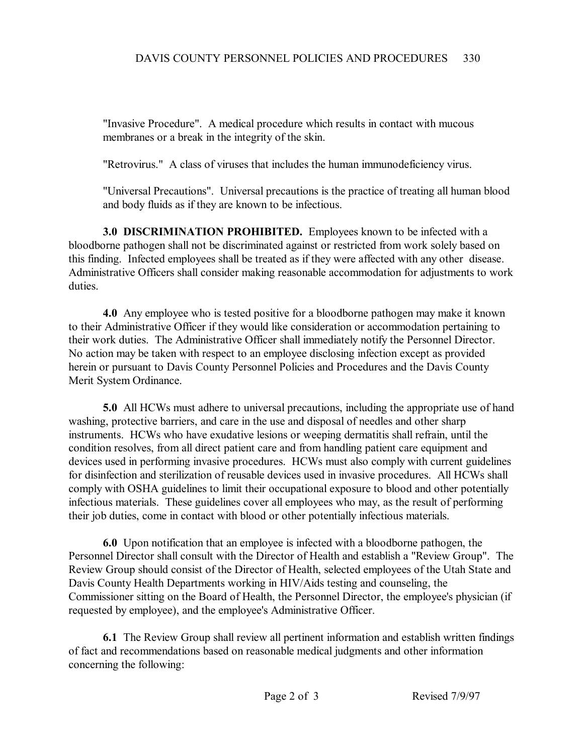"Invasive Procedure". A medical procedure which results in contact with mucous membranes or a break in the integrity of the skin.

"Retrovirus." A class of viruses that includes the human immunodeficiency virus.

"Universal Precautions". Universal precautions is the practice of treating all human blood and body fluids as if they are known to be infectious.

**3.0 DISCRIMINATION PROHIBITED.** Employees known to be infected with a bloodborne pathogen shall not be discriminated against or restricted from work solely based on this finding. Infected employees shall be treated as if they were affected with any other disease. Administrative Officers shall consider making reasonable accommodation for adjustments to work duties.

**4.0** Any employee who is tested positive for a bloodborne pathogen may make it known to their Administrative Officer if they would like consideration or accommodation pertaining to their work duties. The Administrative Officer shall immediately notify the Personnel Director. No action may be taken with respect to an employee disclosing infection except as provided herein or pursuant to Davis County Personnel Policies and Procedures and the Davis County Merit System Ordinance.

**5.0** All HCWs must adhere to universal precautions, including the appropriate use of hand washing, protective barriers, and care in the use and disposal of needles and other sharp instruments. HCWs who have exudative lesions or weeping dermatitis shall refrain, until the condition resolves, from all direct patient care and from handling patient care equipment and devices used in performing invasive procedures. HCWs must also comply with current guidelines for disinfection and sterilization of reusable devices used in invasive procedures. All HCWs shall comply with OSHA guidelines to limit their occupational exposure to blood and other potentially infectious materials. These guidelines cover all employees who may, as the result of performing their job duties, come in contact with blood or other potentially infectious materials.

**6.0** Upon notification that an employee is infected with a bloodborne pathogen, the Personnel Director shall consult with the Director of Health and establish a "Review Group". The Review Group should consist of the Director of Health, selected employees of the Utah State and Davis County Health Departments working in HIV/Aids testing and counseling, the Commissioner sitting on the Board of Health, the Personnel Director, the employee's physician (if requested by employee), and the employee's Administrative Officer.

**6.1** The Review Group shall review all pertinent information and establish written findings of fact and recommendations based on reasonable medical judgments and other information concerning the following: